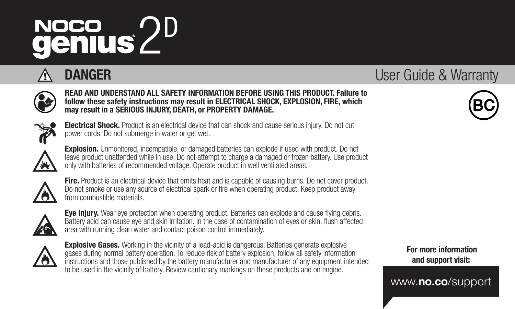# NOCO 2D<br>**genius** 2D

# **DANGER** User Guide & Warranty

#### READ AND UNDERSTAND ALL SAFETY INFORMATION BEFORE USING THIS PRODUCT. Failure to follow these safety instructions may result in ELECTRICAL SHOCK, EXPLOSION, FIRE, which may result in a SERIOUS INJURY, DEATH, or PROPERTY DAMAGE.

Electrical Shock. Product is an electrical device that can shock and cause serious injury. Do not cut power cords. Do not submerge in water or get wet.



Explosion. Unmonitored, incompatible, or damaged batteries can explode if used with product. Do not leave product unattended while in use. Do not attempt to charge a damaged or frozen battery. Use product only with batteries of recommended voltage. Operate product in well ventilated areas.



Fire. Product is an electrical device that emits heat and is canable of causing burns. Do not cover product. Do not smoke or use any source of electrical spark or fire when operating product. Keep product away from combustible materials.



**Eye Injury.** Wear eye protection when operating product. Batteries can explode and cause flying debris. Battery acid can cause eye and skin irritation. In the case of contamination of eyes or skin, flush affected area with running clean water and contact poison control immediately.



**Explosive Gases.** Working in the vicinity of a lead-acid is dangerous. Batteries generate explosive gases during normal battery operation. To reduce risk of battery explosion, follow all safety information instructions and those published by the battery manufacturer and manufacturer of any equipment intended to be used in the vicinity of battery. Review cautionary markings on these products and on engine.

 For more information and support visit:

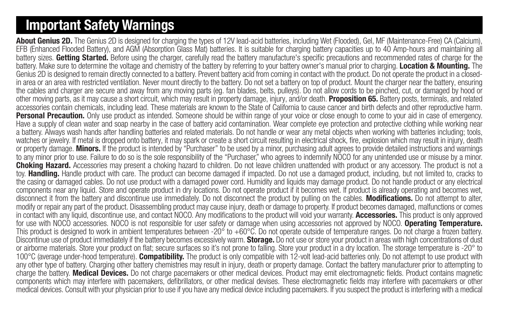# Important Safety Warnings

About Genius 2D. The Genius 2D is designed for charging the types of 12V lead-acid batteries, including Wet (Flooded), Gel, MF (Maintenance-Free) CA (Calcium), EFB (Enhanced Flooded Battery), and AGM (Absorption Glass Mat) batteries. It is suitable for charging battery capacities up to 40 Amp-hours and maintaining all battery sizes. Getting Started. Before using the charger, carefully read the battery manufacture's specific precautions and recommended rates of charge for the battery. Make sure to determine the voltage and chemistry of the battery by referring to your battery owner's manual prior to charging. Location & Mounting. The Genius 2D is designed to remain directly connected to a battery. Prevent battery acid from coming in contact with the product. Do not operate the product in a closedin area or an area with restricted ventilation. Never mount directly to the battery. Do not set a battery on top of product. Mount the charger near the battery, ensuring the cables and charger are secure and away from any moving parts (eg. fan blades, belts, pulleys). Do not allow cords to be pinched, cut, or damaged by hood or other moving parts, as it may cause a short circuit, which may result in property damage, injury, and/or death. **Proposition 65.** Battery posts, terminals, and related accessories contain chemicals, including lead. These materials are known to the State of California to cause cancer and birth defects and other reproductive harm. Personal Precaution. Only use product as intended. Someone should be within range of your voice or close enough to come to your aid in case of emergency. Have a supply of clean water and soap nearby in the case of battery acid contamination. Wear complete eye protection and protective clothing while working near a battery. Always wash hands after handling batteries and related materials. Do not handle or wear any metal objects when working with batteries including; tools, watches or jewelry. If metal is dropped onto battery, it may spark or create a short circuit resulting in electrical shock, fire, explosion which may result in injury, death or property damage. Minors. If the product is intended by "Purchaser" to be used by a minor, purchasing adult agrees to provide detailed instructions and warnings to any minor prior to use. Failure to do so is the sole responsibility of the "Purchaser," who agrees to indemnify NOCO for any unintended use or misuse by a minor. Choking Hazard. Accessories may present a choking hazard to children. Do not leave children unattended with product or any accessory. The product is not a toy. Handling. Handle product with care. The product can become damaged if impacted. Do not use a damaged product, including, but not limited to, cracks to the casing or damaged cables. Do not use product with a damaged power cord. Humidity and liquids may damage product. Do not handle product or any electrical components near any liquid. Store and operate product in dry locations. Do not operate product if it becomes wet. If product is already operating and becomes wet, disconnect it from the battery and discontinue use immediately. Do not disconnect the product by pulling on the cables. Modifications. Do not attempt to alter, modify or repair any part of the product. Disassembling product may cause injury, death or damage to property. If product becomes damaged, malfunctions or comes in contact with any liquid, discontinue use, and contact NOCO. Any modifications to the product will void your warranty. Accessories. This product is only approved for use with NOCO accessories. NOCO is not responsible for user safety or damage when using accessories not approved by NOCO. Operating Temperature. This product is designed to work in ambient temperatures between -20° to +60°C. Do not operate outside of temperature ranges. Do not charge a frozen battery. Discontinue use of product immediately if the battery becomes excessively warm. Storage. Do not use or store your product in areas with high concentrations of dust or airborne materials. Store your product on flat; secure surfaces so it's not prone to falling. Store your product in a dry location. The storage temperature is -20° to 100°C (average under-hood temperature). **Compatibility.** The product is only compatible with 12-volt lead-acid batteries only. Do not attempt to use product with any other type of battery. Charging other battery chemistries may result in injury, death or property damage. Contact the battery manufacturer prior to attempting to charge the battery. **Medical Devices.** Do not charge pacemakers or other medical devices. Product may emit electromagnetic fields. Product contains magnetic components which may interfere with pacemakers, defibrillators, or other medical devises. These electromagnetic fields may interfere with pacemakers or other medical devices. Consult with your physician prior to use if you have any medical device including pacemakers. If you suspect the product is interfering with a medical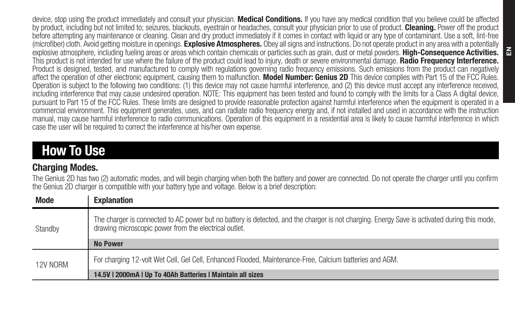device, stop using the product immediately and consult your physician. Medical Conditions. If you have any medical condition that you believe could be affected by product, including but not limited to; seizures, blackouts, eyestrain or headaches, consult your physician prior to use of product. Cleaning, Power off the product before attempting any maintenance or cleaning. Clean and dry product immediately if it comes in contact with liquid or any type of contaminant. Use a soft, lint-free (microfiber) cloth. Avoid getting moisture in openings. Explosive Atmospheres. Obey all signs and instructions. Do not operate product in any area with a potentially explosive atmosphere, including fueling areas or areas which contain chemicals or particles such as grain, dust or metal powders. High-Consequence Activities. This product is not intended for use where the failure of the product could lead to injury, death or severe environmental damage. Radio Frequency Interference. Product is designed, tested, and manufactured to comply with regulations governing radio frequency emissions. Such emissions from the product can negatively affect the operation of other electronic equipment, causing them to malfunction. Model Number: Genius 2D This device complies with Part 15 of the FCC Rules. Operation is subject to the following two conditions: (1) this device may not cause harmful interference, and (2) this device must accept any interference received, including interference that may cause undesired operation. NOTE: This equipment has been tested and found to comply with the limits for a Class A digital device, pursuant to Part 15 of the FCC Rules. These limits are designed to provide reasonable protection against harmful interference when the equipment is operated in a commercial environment. This equipment generates, uses, and can radiate radio frequency energy and, if not installed and used in accordance with the instruction manual, may cause harmful interference to radio communications. Operation of this equipment in a residential area is likely to cause harmful interference in which case the user will be required to correct the interference at his/her own expense.

# How To Use

### **Charging Modes.**

The Genius 2D has two (2) automatic modes, and will begin charging when both the battery and power are connected. Do not operate the charger until you confirm the Genius 2D charger is compatible with your battery type and voltage. Below is a brief description:

| Mode     | <b>Explanation</b>                                                                                                                                                                                    |  |
|----------|-------------------------------------------------------------------------------------------------------------------------------------------------------------------------------------------------------|--|
| Standby  | The charger is connected to AC power but no battery is detected, and the charger is not charging. Energy Save is activated during this mode,<br>drawing microscopic power from the electrical outlet. |  |
|          | <b>No Power</b>                                                                                                                                                                                       |  |
| 12V NORM | For charging 12-volt Wet Cell, Gel Cell, Enhanced Flooded, Maintenance-Free, Calcium batteries and AGM.                                                                                               |  |
|          | 14.5V   2000mA   Up To 40Ah Batteries   Maintain all sizes                                                                                                                                            |  |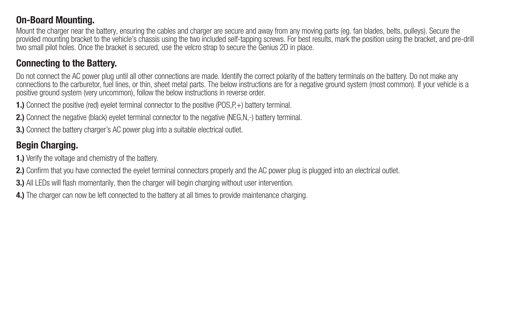#### On-Board Mounting.

Mount the charger near the battery, ensuring the cables and charger are secure and away from any moving parts (eg. fan blades, belts, pulleys). Secure the provided mounting bracket to the vehicle's chassis using the two included self-tapping screws. For best results, mark the position using the bracket, and pre-drill two small pilot holes. Once the bracket is secured, use the velcro strap to secure the Genius 2D in place.

#### Connecting to the Battery.

Do not connect the AC power plug until all other connections are made. Identify the correct polarity of the battery terminals on the battery. Do not make any connections to the carburetor, fuel lines, or thin, sheet metal parts. The below instructions are for a negative ground system (most common). If your vehicle is a positive ground system (very uncommon), follow the below instructions in reverse order.

1.) Connect the positive (red) eyelet terminal connector to the positive (POS,P,+) battery terminal.

2.) Connect the negative (black) evelet terminal connector to the negative (NEG,N,-) battery terminal.

3.) Connect the battery charger's AC power plug into a suitable electrical outlet.

### Begin Charging.

1.) Verify the voltage and chemistry of the battery.

2.) Confirm that you have connected the evelet terminal connectors properly and the AC power plug is plugged into an electrical outlet.

3.) All LEDs will flash momentarily, then the charger will begin charging without user intervention.

4.) The charger can now be left connected to the battery at all times to provide maintenance charging.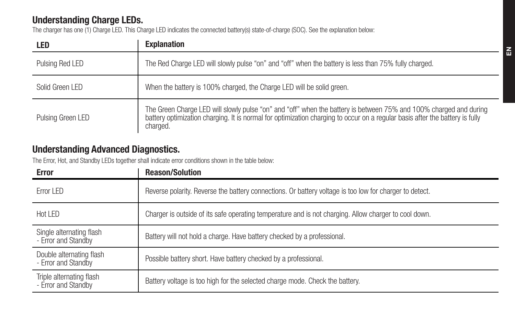### Understanding Charge LEDs.

The charger has one (1) Charge LED. This Charge LED indicates the connected battery(s) state-of-charge (SOC). See the explanation below:

| LED               | <b>Explanation</b>                                                                                                                                                                                                                                            |
|-------------------|---------------------------------------------------------------------------------------------------------------------------------------------------------------------------------------------------------------------------------------------------------------|
| Pulsing Red LED   | The Red Charge LED will slowly pulse "on" and "off" when the battery is less than 75% fully charged.                                                                                                                                                          |
| Solid Green I FD  | When the battery is 100% charged, the Charge LED will be solid green.                                                                                                                                                                                         |
| Pulsing Green LED | The Green Charge LED will slowly pulse "on" and "off" when the battery is between 75% and 100% charged and during<br>battery optimization charging. It is normal for optimization charging to occur on a regular basis after the battery is fully<br>charged. |

#### Understanding Advanced Diagnostics.

The Error, Hot, and Standby LEDs together shall indicate error conditions shown in the table below:

| Error                                           | <b>Reason/Solution</b>                                                                                  |
|-------------------------------------------------|---------------------------------------------------------------------------------------------------------|
| Frror I FD                                      | Reverse polarity. Reverse the battery connections. Or battery voltage is too low for charger to detect. |
| Hot I FD                                        | Charger is outside of its safe operating temperature and is not charging. Allow charger to cool down.   |
| Single alternating flash<br>- Error and Standby | Battery will not hold a charge. Have battery checked by a professional.                                 |
| Double alternating flash<br>- Error and Standby | Possible battery short. Have battery checked by a professional.                                         |
| Triple alternating flash<br>- Error and Standby | Battery voltage is too high for the selected charge mode. Check the battery.                            |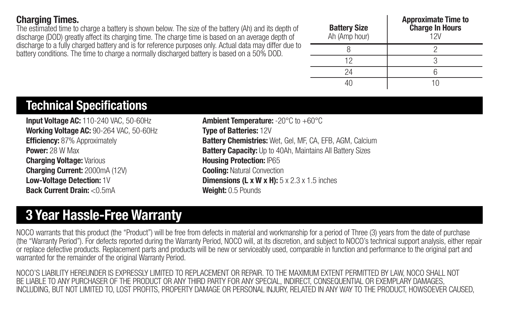#### Charging Times.

The estimated time to charge a battery is shown below. The size of the battery (Ah) and its depth of discharge (DOD) greatly affect its charging time. The charge time is based on an average depth of discharge to a fully charged battery and is for reference purposes only. Actual data may differ due to battery conditions. The time to charge a normally discharged battery is based on a 50% DOD.

| <b>Battery Size</b><br>Ah (Amp hour) | <b>Approximate Time to</b><br><b>Charge In Hours</b><br>12V |
|--------------------------------------|-------------------------------------------------------------|
|                                      |                                                             |
| 12                                   |                                                             |
| 24                                   |                                                             |
|                                      |                                                             |

## Technical Specifications

Input Voltage AC: 110-240 VAC, 50-60Hz Working Voltage AC: 90-264 VAC, 50-60Hz Efficiency: 87% Approximately Power: 28 W May Charging Voltage: Various Charging Current: 2000mA (12V) Low-Voltage Detection: 1V Back Current Drain: <0.5mA

Ambient Temperature: -20°C to +60°C Type of Batteries: 12V Battery Chemistries: Wet, Gel, MF, CA, EFB, AGM, Calcium Battery Capacity: Up to 40Ah, Maintains All Battery Sizes Housing Protection: IP65 **Cooling: Natural Convection** Dimensions (L x W x H): 5 x 2.3 x 1.5 inches Weight: 0.5 Pounds

# 3 Year Hassle-Free Warranty

NOCO warrants that this product (the "Product") will be free from defects in material and workmanship for a period of Three (3) years from the date of purchase (the "Warranty Period"). For defects reported during the Warranty Period, NOCO will, at its discretion, and subject to NOCO's technical support analysis, either repair or replace defective products. Replacement parts and products will be new or serviceably used, comparable in function and performance to the original part and warranted for the remainder of the original Warranty Period.

NOCO'S LIABILITY HEREUNDER IS EXPRESSLY LIMITED TO REPLACEMENT OR REPAIR. TO THE MAXIMUM EXTENT PERMITTED BY LAW, NOCO SHALL NOT BE LIABLE TO ANY PURCHASER OF THE PRODUCT OR ANY THIRD PARTY FOR ANY SPECIAL, INDIRECT, CONSEQUENTIAL OR EXEMPLARY DAMAGES. INCLUDING, BUT NOT LIMITED TO, LOST PROFITS, PROPERTY DAMAGE OR PERSONAL INJURY, RELATED IN ANY WAY TO THE PRODUCT, HOWSOEVER CAUSED,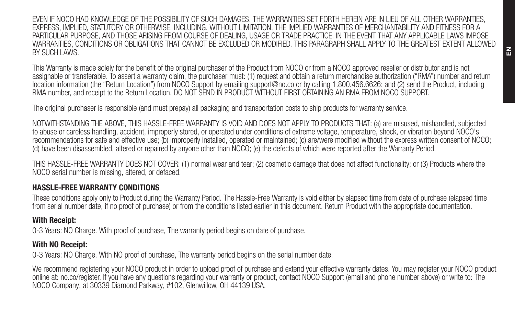EVEN IF NOCO HAD KNOWLEDGE OF THE POSSIBILITY OF SUCH DAMAGES. THE WARRANTIES SET FORTH HEREIN ARE IN LIEU OF ALL OTHER WARRANTIES, EXPRESS, IMPLIED, STATUTORY OR OTHERWISE, INCLUDING, WITHOUT LIMITATION, THE IMPLIED WARRANTIES OF MERCHANTABILITY AND FITNESS FOR A PARTICULAR PURPOSE, AND THOSE ARISING FROM COURSE OF DEALING, USAGE OR TRADE PRACTICE. IN THE EVENT THAT ANY APPLICABLE LAWS IMPOSE WARRANTIES, CONDITIONS OR OBLIGATIONS THAT CANNOT BE EXCLUDED OR MODIFIED, THIS PARAGRAPH SHALL APPLY TO THE GREATEST EXTENT ALLOWED BY SUCH LAWS.

This Warranty is made solely for the benefit of the original purchaser of the Product from NOCO or from a NOCO approved reseller or distributor and is not assignable or transferable. To assert a warranty claim, the purchaser must: (1) request and obtain a return merchandise authorization ("RMA") number and return location information (the "Return Location") from NOCO Support by emailing support@no.co or by calling 1.800.456.6626; and (2) send the Product, including RMA number, and receipt to the Return Location. DO NOT SEND IN PRODUCT WITHOUT FIRST OBTAINING AN RMA FROM NOCO SUPPORT.

The original purchaser is responsible (and must prepay) all packaging and transportation costs to ship products for warranty service.

NOTWITHSTANDING THE ABOVE, THIS HASSLE-FREE WARRANTY IS VOID AND DOES NOT APPLY TO PRODUCTS THAT: (a) are misused, mishandled, subjected to abuse or careless handling, accident, improperly stored, or operated under conditions of extreme voltage, temperature, shock, or vibration beyond NOCO's recommendations for safe and effective use; (b) improperly installed, operated or maintained; (c) are/were modified without the express written consent of NOCO; (d) have been disassembled, altered or repaired by anyone other than NOCO; (e) the defects of which were reported after the Warranty Period.

THIS HASSLE-FREE WARRANTY DOES NOT COVER: (1) normal wear and tear; (2) cosmetic damage that does not affect functionality; or (3) Products where the NOCO serial number is missing, altered, or defaced.

#### HASSLE-FREE WARRANTY CONDITIONS

These conditions apply only to Product during the Warranty Period. The Hassle-Free Warranty is void either by elapsed time from date of purchase (elapsed time from serial number date, if no proof of purchase) or from the conditions listed earlier in this document. Return Product with the appropriate documentation.

#### With Receipt:

0-3 Years: NO Charge. With proof of purchase, The warranty period begins on date of purchase.

#### With NO Receipt:

0-3 Years: NO Charge. With NO proof of purchase, The warranty period begins on the serial number date.

We recommend registering your NOCO product in order to upload proof of purchase and extend your effective warranty dates. You may register your NOCO product online at: no.co/register. If you have any questions regarding your warranty or product, contact NOCO Support (email and phone number above) or write to: The NOCO Company, at 30339 Diamond Parkway, #102, Glenwillow, OH 44139 USA.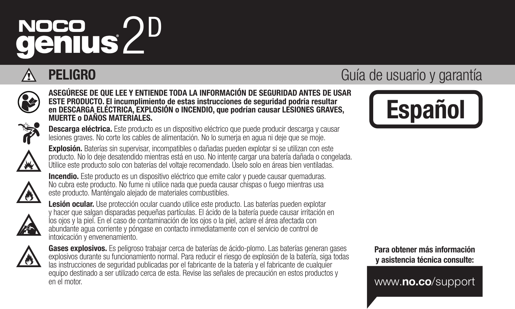# NOCO 2D<br>**genius** 2D



ASEGÚRESE DE QUE LEE Y ENTIENDE TODA LA INFORMACIÓN DE SEGURIDAD ANTES DE USAR ESTE PRODUCTO. El incumplimiento de estas instrucciones de seguridad podría resultar en DESCARGA ELÉCTRICA, EXPLOSIÓN o INCENDIO, que podrían causar LESIONES GRAVES, MUERTE o DAÑOS MATERIALES.



Descarga eléctrica. Este producto es un dispositivo eléctrico que puede producir descarga y causar lesiones graves. No corte los cables de alimentación. No lo sumerja en agua ni deje que se moje.



Explosión. Baterías sin supervisar, incompatibles o dañadas pueden explotar si se utilizan con este producto. No lo deje desatendido mientras está en uso. No intente cargar una batería dañada o congelada. Utilice este producto solo con baterías del voltaje recomendado. Úselo solo en áreas bien ventiladas.



Incendio. Este producto es un dispositivo eléctrico que emite calor y puede causar quemaduras. No cubra este producto. No fume ni utilice nada que pueda causar chispas o fuego mientras usa este producto. Manténgalo alejado de materiales combustibles.



Lesión ocular. Use protección ocular cuando utilice este producto. Las baterías pueden explotar y hacer que salgan disparadas pequeñas partículas. El ácido de la batería puede causar irritación en los ojos y la piel. En el caso de contaminación de los ojos o la piel, aclare el área afectada con abundante agua corriente y póngase en contacto inmediatamente con el servicio de control de intoxicación y envenenamiento.



Gases explosivos. Es peligroso trabajar cerca de baterías de ácido-plomo. Las baterías generan gases explosivos durante su funcionamiento normal. Para reducir el riesgo de explosión de la batería, siga todas las instrucciones de seguridad publicadas por el fabricante de la batería y el fabricante de cualquier equipo destinado a ser utilizado cerca de esta. Revise las señales de precaución en estos productos y en el motor.

# **PELIGRO** Guía de usuario y garantía



Para obtener más información y asistencia técnica consulte:

www.no.co/support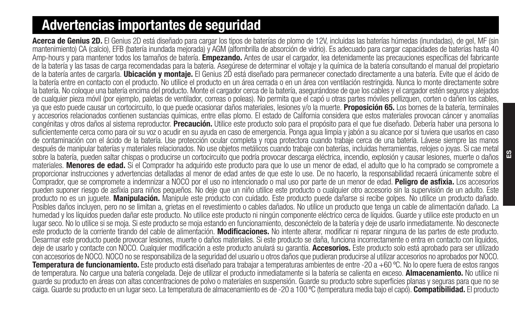# Advertencias importantes de seguridad

Acerca de Genius 2D. El Genius 2D está diseñado para cargar los tipos de baterías de plomo de 12V, incluidas las baterías húmedas (inundadas), de gel, MF (sin mantenimiento) CA (calcio), EFB (batería inundada mejorada) y AGM (alfombrilla de absorción de vidrio). Es adecuado para cargar capacidades de baterías hasta 40 Amp-hours y para mantener todos los tamaños de batería. Empezando, Antes de usar el cargador, lea detenidamente las precauciones específicas del fabricante de la batería y las tasas de carga recomendadas para la batería. Asegúrese de determinar el voltaje y la química de la batería consultando el manual del propietario de la batería antes de cargarla. Ubicación y montaje. El Genius 2D está diseñado para permanecer conectado directamente a una batería. Evite que el ácido de la batería entre en contacto con el producto. No utilice el producto en un área cerrada o en un área con ventilación restringida. Nunca lo monte directamente sobre la batería. No coloque una batería encima del producto. Monte el cargador cerca de la batería, asegurándose de que los cables y el cargador estén seguros y alejados de cualquier pieza móvil (por ejemplo, paletas de ventilador, correas o poleas). No permita que el capó u otras partes móviles pellizquen, corten o dañen los cables, ya que esto puede causar un cortocircuito, lo que puede ocasionar daños materiales, lesiones y/o la muerte. **Proposición 65.** Los bornes de la batería, terminales y accesorios relacionados contienen sustancias químicas, entre ellas plomo. El estado de California considera que estos materiales provocan cáncer y anomalías congénitas y otros daños al sistema reproductor. Precaución. Utilice este producto solo para el propósito para el que fue diseñado. Debería haber una persona lo suficientemente cerca como para oír su voz o acudir en su ayuda en caso de emergencia. Ponga agua limpia y jabón a su alcance por si tuviera que usarlos en caso de contaminación con el ácido de la batería. Use protección ocular completa y ropa protectora cuando trabaje cerca de una batería. Lávese siempre las manos después de manipular baterías y materiales relacionados. No use objetos metálicos cuando trabaje con baterías, incluidas herramientas, relojes o joyas. Si cae metal sobre la batería, pueden saltar chispas o producirse un cortocircuito que podría provocar descarga eléctrica, incendio, explosión y causar lesiones, muerte o daños materiales. Menores de edad. Si el Comprador ha adquirido este producto para que lo use un menor de edad, el adulto que lo ha comprado se compromete a proporcionar instrucciones y advertencias detalladas al menor de edad antes de que este lo use. De no hacerlo, la responsabilidad recaerá únicamente sobre el<br>Comprador, que se compromete a indemnizar a NOCO por el uso no i pueden suponer riesgo de asfixia para niños pequeños. No deie que un niño utilice este producto o cualquier otro accesorio sin la supervisión de un adulto. Este producto no es un juguete. Manipulación. Manipule este producto con cuidado. Este producto puede dañarse si recibe golpes. No utilice un producto dañado. Posibles daños incluyen, pero no se limitan a, grietas en el revestimiento o cables dañados. No utilice un producto que tenga un cable de alimentación dañado. La humedad y los líquidos pueden dañar este producto. No utilice este producto ni ningún componente eléctrico cerca de líquidos. Guarde y utilice este producto en un lugar seco. No lo utilice si se moja. Si este producto se moja estando en funcionamiento, desconéctelo de la batería y deje de usarlo inmediatamente. No desconecte este producto de la corriente tirando del cable de alimentación. Modificaciones. No intente alterar, modificar ni reparar ninguna de las partes de este producto. Desarmar este producto puede provocar lesiones, muerte o daños materiales. Si este producto se daña, funciona incorrectamente o entra en contacto con líquidos, deje de usarlo y contacte con NOCO. Cualquier modificación a este producto anulará su garantía. Accesorios. Este producto solo está aprobado para ser utilizado con accesorios de NOCO. NOCO no se responsabiliza de la seguridad del usuario u otros daños que pudieran producirse al utilizar accesorios no aprobados por NOCO. **Temperatura de funcionamiento.** Este producto está diseñado para trabajar a temperaturas ambientes de entre -20 a +60 °C. No lo opere fuera de estos rangos<br>de temperatura. No carque una batería congelada. Deje de utilizar quarde su producto en áreas con altas concentraciones de polvo o materiales en suspensión. Guarde su producto sobre superficies planas y seguras para que no se caiga. Guarde su producto en un lugar seco. La temperatura de almacenamiento es de -20 a 100 °C (temperatura media bajo el capó). Compatibilidad. El producto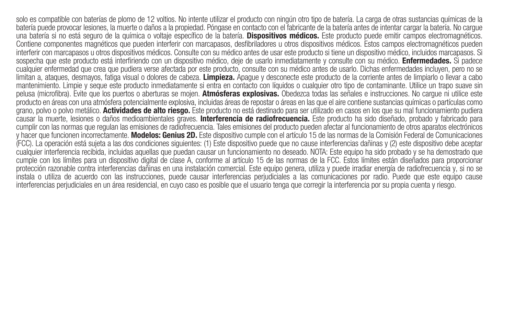solo es compatible con baterías de plomo de 12 voltios. No intente utilizar el producto con ningún otro tipo de batería. La carga de otras sustancias químicas de la batería puede provocar lesiones, la muerte o daños a la propiedad. Póngase en contacto con el fabricante de la batería antes de intentar cargar la batería. No cargue una batería si no está seguro de la química o voltaje específico de la batería. **Dispositivos médicos.** Este producto puede emitir campos electromagnéticos. Contiene componentes magnéticos que pueden interferir con marcapasos, desfibriladores u otros dispositivos médicos. Estos campos electromagnéticos pueden interferir con marcapasos u otros dispositivos médicos. Consulte con su médico antes de usar este producto si tiene un dispositivo médico, incluidos marcapasos. Si sospecha que este producto está interfiriendo con un dispositivo médico, deje de usarlo inmediatamente y consulte con su médico. Enfermedades. Si padece cualquier enfermedad que crea que pudiera verse afectada por este producto, consulte con su médico antes de usarlo. Dichas enfermedades incluyen, pero no se limitan a, ataques, desmayos, fatiga visual o dolores de cabeza. Limpieza. Apague y desconecte este producto de la corriente antes de limpiarlo o llevar a cabo mantenimiento. Limpie y seque este producto inmediatamente si entra en contacto con líquidos o cualquier otro tipo de contaminante. Utilice un trapo suave sin pelusa (microfibra). Evite que los puertos o aberturas se mojen. Atmósferas explosivas. Obedezca todas las señales e instrucciones. No carque ni utilice este producto en áreas con una atmósfera potencialmente explosiva, incluidas áreas de repostar o áreas en las que el aire contiene sustancias químicas o partículas como grano, polvo o polvo metálico. Actividades de alto riesgo. Este producto no está destinado para ser utilizado en casos en los que su mal funcionamiento pudiera causar la muerte, lesiones o daños medioambientales graves. Interferencia de radiofrecuencia. Este producto ha sido diseñado, probado y fabricado para cumplir con las normas que regulan las emisiones de radiofrecuencia. Tales emisiones del producto pueden afectar al funcionamiento de otros aparatos electrónicos y hacer que funcionen incorrectamente. Modelos: Genius 2D. Este dispositivo cumple con el artículo 15 de las normas de la Comisión Federal de Comunicaciones (FCC). La operación está sujeta a las dos condiciones siguientes: (1) Este dispositivo puede que no cause interferencias dañinas y (2) este dispositivo debe aceptar cualquier interferencia recibida, incluidas aquellas que puedan causar un funcionamiento no deseado. NOTA: Este equipo ha sido probado y se ha demostrado que cumple con los límites para un dispositivo digital de clase A, conforme al artículo 15 de las normas de la FCC. Estos límites están diseñados para proporcionar protección razonable contra interferencias dañinas en una instalación comercial. Este equipo genera, utiliza y puede irradiar energía de radiofrecuencia y, si no se instala o utiliza de acuerdo con las instrucciones, puede causar interferencias perjudiciales a las comunicaciones por radio. Puede que este equipo cause interferencias perjudiciales en un área residencial, en cuyo caso es posible que el usuario tenga que corregir la interferencia por su propia cuenta y riesgo.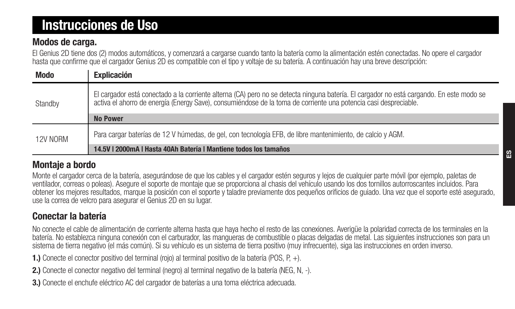# Instrucciones de Uso

#### Modos de carga.

El Genius 2D tiene dos (2) modos automáticos, y comenzará a cargarse cuando tanto la batería como la alimentación estén conectadas. No opere el cargador hasta que confirme que el cargador Genius 2D es compatible con el tipo y voltaje de su batería. A continuación hay una breve descripción:

| <b>Modo</b> | Explicación                                                                                                                                                                                                                                                  |
|-------------|--------------------------------------------------------------------------------------------------------------------------------------------------------------------------------------------------------------------------------------------------------------|
| Standby     | El cargador está conectado a la corriente alterna (CA) pero no se detecta ninguna batería. El cargador no está cargando. En este modo se<br>activa el ahorro de energía (Energy Save), consumiéndose de la toma de corriente una potencia casi despreciable, |
|             | No Power                                                                                                                                                                                                                                                     |
| 12V NORM    | Para cargar baterías de 12 V húmedas, de gel, con tecnología EFB, de libre mantenimiento, de calcio y AGM.                                                                                                                                                   |
|             | 14.5V   2000mA   Hasta 40Ah Batería   Mantiene todos los tamaños                                                                                                                                                                                             |

#### Montaje a bordo

Monte el cargador cerca de la batería, asegurándose de que los cables y el cargador estén seguros y lejos de cualquier parte móvil (por ejemplo, paletas de ventilador, correas o poleas). Asegure el soporte de montaje que se proporciona al chasis del vehículo usando los dos tornillos autorroscantes incluidos. Para obtener los mejores resultados, marque la posición con el soporte y taladre previamente dos pequeños orificios de guiado. Una vez que el soporte esté asegurado, use la correa de velcro para asegurar el Genius 2D en su lugar.

### Conectar la batería

No conecte el cable de alimentación de corriente alterna hasta que haya hecho el resto de las conexiones. Averigüe la polaridad correcta de los terminales en la batería. No establezca ninguna conexión con el carburador, las mangueras de combustible o placas delgadas de metal. Las siguientes instrucciones son para un sistema de tierra negativo (el más común). Si su vehículo es un sistema de tierra positivo (muy infrecuente), siga las instrucciones en orden inverso.

1.) Conecte el conector positivo del terminal (rojo) al terminal positivo de la batería (POS, P, +).

- 2.) Conecte el conector negativo del terminal (negro) al terminal negativo de la batería (NEG, N, -).
- 3.) Conecte el enchufe eléctrico AC del cargador de baterías a una toma eléctrica adecuada.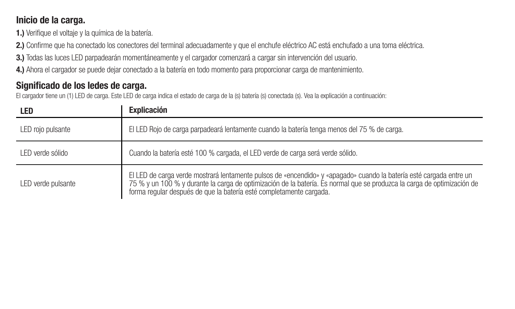#### Inicio de la carga.

1.) Verifique el voltaje y la química de la batería.

2.) Confirme que ha conectado los conectores del terminal adecuadamente y que el enchufe eléctrico AC está enchufado a una toma eléctrica.

3.) Todas las luces LED parpadearán momentáneamente y el cargador comenzará a cargar sin intervención del usuario.

4.) Ahora el cargador se puede dejar conectado a la batería en todo momento para proporcionar carga de mantenimiento.

### Significado de los ledes de carga.

El cargador tiene un (1) LED de carga. Este LED de carga indica el estado de carga de la (s) batería (s) conectada (s). Vea la explicación a continuación:

| LED                | Explicación                                                                                                                                                                                                                                                                                                           |
|--------------------|-----------------------------------------------------------------------------------------------------------------------------------------------------------------------------------------------------------------------------------------------------------------------------------------------------------------------|
| LED rojo pulsante  | El LED Rojo de carga parpadeará lentamente cuando la batería tenga menos del 75 % de carga.                                                                                                                                                                                                                           |
| I FD verde sólido  | Cuando la batería esté 100 % cargada, el LED verde de carga será verde sólido.                                                                                                                                                                                                                                        |
| LED verde pulsante | El LED de carga verde mostrará lentamente pulsos de «encendido» y «apagado» cuando la batería esté cargada entre un<br>75 % y un 100 % y durante la carga de optimización de la batería. Es normal que se produzca la carga de optimización de<br>forma regular después de que la batería esté completamente cargada. |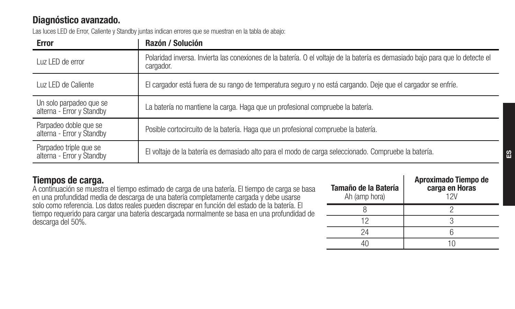### Diagnóstico avanzado.

Las luces LED de Error, Caliente y Standby juntas indican errores que se muestran en la tabla de abajo:

| Error                                                | Razón / Solución                                                                                                                           |
|------------------------------------------------------|--------------------------------------------------------------------------------------------------------------------------------------------|
| Luz LED de error                                     | Polaridad inversa. Invierta las conexiones de la batería. O el voltaje de la batería es demasiado bajo para que lo detecte el<br>cargador. |
| Luz LED de Caliente                                  | El cargador está fuera de su rango de temperatura seguro y no está cargando. Deje que el cargador se enfríe.                               |
| Un solo parpadeo que se<br>alterna - Error y Standby | La batería no mantiene la carga. Haga que un profesional compruebe la batería.                                                             |
| Parpadeo doble que se<br>alterna - Error y Standby   | Posible cortocircuito de la batería. Haga que un profesional compruebe la batería.                                                         |
| Parpadeo triple que se<br>alterna - Error y Standby  | El voltaje de la batería es demasiado alto para el modo de carga seleccionado. Compruebe la batería.                                       |

#### Tiempos de carga.

A continuación se muestra el tiempo estimado de carga de una batería. El tiempo de carga se basa en una profundidad media de descarga de una batería completamente cargada y debe usarse solo como referencia. Los datos reales pueden discrepar en función del estado de la batería. El tiempo requerido para cargar una batería descargada normalmente se basa en una profundidad de descarga del 50%.

| Tamaño de la Batería<br>Ah (amp hora) | Aproximado Tiempo de<br>carga en Horas<br>12V |
|---------------------------------------|-----------------------------------------------|
|                                       |                                               |
| 12                                    |                                               |
| 24                                    |                                               |
|                                       |                                               |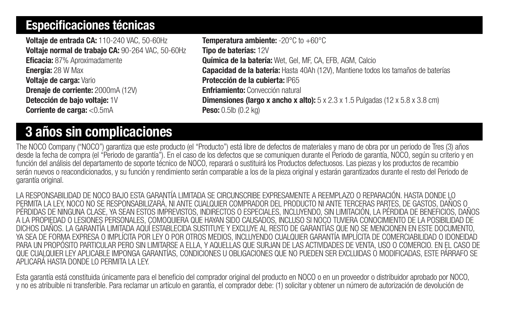## Especificaciones técnicas

Voltaje de entrada CA: 110-240 VAC, 50-60Hz Voltaje normal de trabajo CA: 90-264 VAC, 50-60Hz Eficacia: 87% Aproximadamente Energía: 28 W Max Voltaje de carga: Vario Drenaje de corriente: 2000mA (12V) Detección de bajo voltaje: 1V Corriente de carga: <0.5mA

Temperatura ambiente: -20°C to +60°C Tipo de baterías: 12V Química de la batería: Wet, Gel, MF, CA, EFB, AGM, Calcio Capacidad de la batería: Hasta 40Ah (12V), Mantiene todos los tamaños de baterías Protección de la cubierta: IP65 Enfriamiento: Convección natural **Dimensiones (largo x ancho x alto):**  $5 \times 2.3 \times 1.5$  Pulgadas (12  $\times 5.8 \times 3.8$  cm) Peso: 0.5lb (0.2 kg)

# 3 años sin complicaciones

The NOCO Company ("NOCO") garantiza que este producto (el "Producto") está libre de defectos de materiales y mano de obra por un periodo de Tres (3) años desde la fecha de compra (el "Periodo de garantía"). En el caso de los defectos que se comuniquen durante el Periodo de garantía, NOCO, según su criterio y en función del análisis del departamento de soporte técnico de NOCO, reparará o sustituirá los Productos defectuosos. Las piezas y los productos de recambio serán nuevos o reacondicionados, y su función y rendimiento serán comparable a los de la pieza original y estarán garantizados durante el resto del Periodo de garantía original.

LA RESPONSABILIDAD DE NOCO BAJO ESTA GARANTÍA LIMITADA SE CIRCUNSCRIBE EXPRESAMENTE A REEMPLAZO O REPARACIÓN. HASTA DONDE LO PERMITA LA LEY, NOCO NO SE RESPONSABILIZARÁ, NI ANTE CUALQUIER COMPRADOR DEL PRODUCTO NI ANTE TERCERAS PARTES, DE GASTOS, DAÑOS O PÉRDIDAS DE NINGUNA CLASE, YA SEAN ESTOS IMPREVISTOS, INDIRECTOS O ESPECIALES, INCLUYENDO, SIN LIMITACIÓN, LA PÉRDIDA DE BENEFICIOS, DAÑOS A LA PROPIEDAD O LESIONES PERSONALES, COMOQUIERA QUE HAYAN SIDO CAUSADOS, INCLUSO SI NOCO TUVIERA CONOCIMIENTO DE LA POSIBILIDAD DE DICHOS DAÑOS. LA GARANTÍA LIMITADA AQUÍ ESTABLECIDA SUSTITUYE Y EXCLUYE AL RESTO DE GARANTÍAS QUE NO SE MENCIONEN EN ESTE DOCUMENTO, YA SEA DE FORMA EXPRESA O IMPLÍCITA POR LEY O POR OTROS MEDIOS, INCLUYENDO CUALQUIER GARANTÍA IMPLÍCITA DE COMERCIABILIDAD O IDONEIDAD PARA UN PROPÓSITO PARTICULAR PERO SIN LIMITARSE A ELLA, Y AQUELLAS QUE SURJAN DE LAS ACTIVIDADES DE VENTA, USO O COMERCIO. EN EL CASO DE QUE CUALQUIER LEY APLICABLE IMPONGA GARANTÍAS, CONDICIONES U OBLIGACIONES QUE NO PUEDEN SER EXCLUIDAS O MODIFICADAS, ESTE PÁRRAFO SE APLICARÁ HASTA DONDE LO PERMITA LA LEY.

Esta garantía está constituida únicamente para el beneficio del comprador original del producto en NOCO o en un proveedor o distribuidor aprobado por NOCO, y no es atribuible ni transferible. Para reclamar un artículo en garantía, el comprador debe: (1) solicitar y obtener un número de autorización de devolución de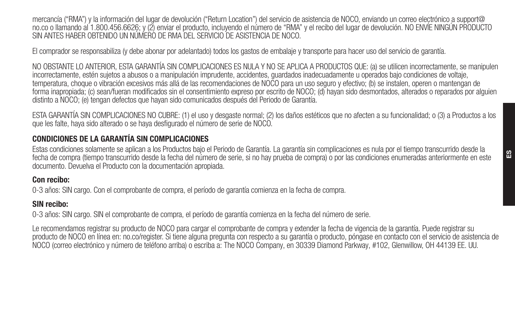mercancía ("RMA") y la información del lugar de devolución ("Return Location") del servicio de asistencia de NOCO, enviando un correo electrónico a support@ no.co o llamando al 1.800.456.6626; y (2) enviar el producto, incluyendo el número de "RMA" y el recibo del lugar de devolución. NO ENVÍE NINGÚN PRODUCTO SIN ANTES HABER OBTENIDO UN NÚMERO DE RMA DEL SERVICIO DE ASISTENCIA DE NOCO.

El comprador se responsabiliza (y debe abonar por adelantado) todos los gastos de embalaje y transporte para hacer uso del servicio de garantía.

NO OBSTANTE LO ANTERIOR, ESTA GARANTÍA SIN COMPLICACIONES ES NULA Y NO SE APLICA A PRODUCTOS QUE: (a) se utilicen incorrectamente, se manipulen incorrectamente, estén sujetos a abusos o a manipulación imprudente, accidentes, guardados inadecuadamente u operados bajo condiciones de voltaje, temperatura, choque o vibración excesivos más allá de las recomendaciones de NOCO para un uso seguro y efectivo; (b) se instalen, operen o mantengan de forma inapropiada; (c) sean/fueran modificados sin el consentimiento expreso por escrito de NOCO; (d) hayan sido desmontados, alterados o reparados por alguien distinto a NOCO; (e) tengan defectos que hayan sido comunicados después del Periodo de Garantía.

ESTA GARANTÍA SIN COMPLICACIONES NO CUBRE: (1) el uso y desgaste normal; (2) los daños estéticos que no afecten a su funcionalidad; o (3) a Productos a los que les falte, haya sido alterado o se haya desfigurado el número de serie de NOCO.

#### CONDICIONES DE LA GARANTÍA SIN COMPLICACIONES

Estas condiciones solamente se aplican a los Productos bajo el Periodo de Garantía. La garantía sin complicaciones es nula por el tiempo transcurrido desde la fecha de compra (tiempo transcurrido desde la fecha del número de serie, si no hay prueba de compra) o por las condiciones enumeradas anteriormente en este documento. Devuelva el Producto con la documentación apropiada.

#### Con recibo:

0-3 años: SIN cargo. Con el comprobante de compra, el período de garantía comienza en la fecha de compra.

#### SIN recibo:

0-3 años: SIN cargo. SIN el comprobante de compra, el período de garantía comienza en la fecha del número de serie.

Le recomendamos registrar su producto de NOCO para cargar el comprobante de compra y extender la fecha de vigencia de la garantía. Puede registrar su producto de NOCO en línea en: no.co/register. Si tiene alguna pregunta con respecto a su garantía o producto, póngase en contacto con el servicio de asistencia de NOCO (correo electrónico y número de teléfono arriba) o escriba a: The NOCO Company, en 30339 Diamond Parkway, #102, Glenwillow, OH 44139 EE. UU.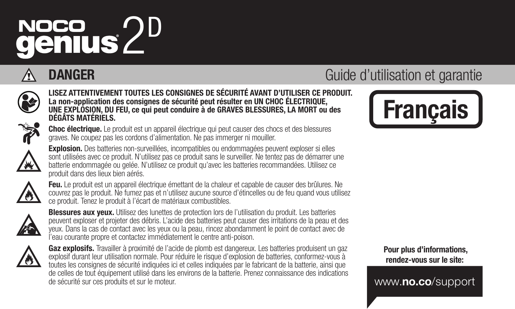# NOCO 2D<br>**genius** 2D



LISEZ ATTENTIVEMENT TOUTES LES CONSIGNES DE SÉCURITÉ AVANT D'UTILISER CE PRODUIT. La non-application des consignes de sécurité peut résulter en UN CHOC ÉLECTRIQUE, UNE EXPLOSION, DU FEU, ce qui peut conduire à de GRAVES BLESSURES, LA MORT ou des DÉGÂTS MATÉRIELS.

Choc électrique. Le produit est un appareil électrique qui peut causer des chocs et des blessures graves. Ne coupez pas les cordons d'alimentation. Ne pas immerger ni mouiller.



Explosion. Des batteries non-surveillées, incompatibles ou endommagées peuvent exploser si elles sont utilisées avec ce produit. N'utilisez pas ce produit sans le surveiller. Ne tentez pas de démarrer une batterie endommagée ou gelée. N'utilisez ce produit qu'avec les batteries recommandées. Utilisez ce produit dans des lieux bien aérés.



Feu. Le produit est un appareil électrique émettant de la chaleur et capable de causer des brûlures. Ne couvrez pas le produit. Ne fumez pas et n'utilisez aucune source d'étincelles ou de feu quand vous utilisez ce produit. Tenez le produit à l'écart de matériaux combustibles.



Blessures aux yeux. Utilisez des lunettes de protection lors de l'utilisation du produit. Les batteries peuvent exploser et projeter des débris. L'acide des batteries peut causer des irritations de la peau et des yeux. Dans la cas de contact avec les yeux ou la peau, rincez abondamment le point de contact avec de l'eau courante propre et contactez immédiatement le centre anti-poison.



Gaz explosifs. Travailler à proximité de l'acide de plomb est dangereux. Les batteries produisent un gaz explosif durant leur utilisation normale. Pour réduire le risque d'explosion de batteries, conformez-vous à toutes les consignes de sécurité indiquées ici et celles indiquées par le fabricant de la batterie, ainsi que de celles de tout équipement utilisé dans les environs de la batterie. Prenez connaissance des indications de sécurité sur ces produits et sur le moteur.

# **DANGER** Guide d'utilisation et garantie



 Pour plus d'informations, rendez-vous sur le site:

www.no.co/support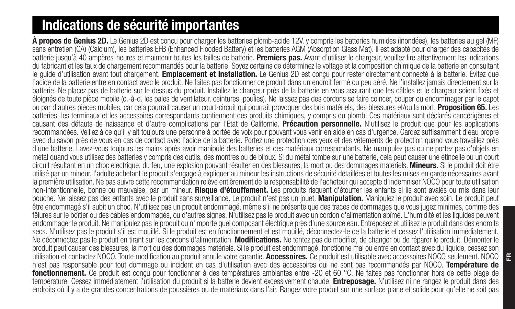# Indications de sécurité importantes

À propos de Genius 2D. Le Genius 2D est concu pour charger les batteries plomb-acide 12V, y compris les batteries humides (inondées), les batteries au gel (MF) sans entretien (CA) (Calcium), les batteries EFB (Enhanced Flooded Battery) et les batteries AGM (Absorption Glass Mat). Il est adapté pour charger des capacités de batterie jusqu'à 40 ampères-heures et maintenir toutes les tailles de batterie. Premiers pas. Avant d'utiliser le chargeur, veuillez lire attentivement les indications du fabricant et les taux de chargement recommandés pour la batterie. Soyez certains de déterminez le voltage et la composition chimique de la batterie en consultant le quide d'utilisation avant tout chargement. Emplacement et installation. Le Genius 2D est concu pour rester directement connecté à la batterie. Évitez que l'acide de la batterie entre en contact avec le produit. Ne faites pas fonctionner ce produit dans un endroit fermé ou peu aéré. Ne l'installez jamais directement sur la batterie. Ne placez pas de batterie sur le dessus du produit. Installez le chargeur près de la batterie en vous assurant que les câbles et le chargeur soient fixés et éloignés de toute pièce mobile (c.-à-d. les pales de ventilateur, ceintures, poulies). Ne laissez pas des cordons se faire coincer, couper ou endommager par le capot<br>ou par d'autres pièces mobiles, car cela pourrait causer batteries. les terminaux et les accessoires correspondants contiennent des produits chimiques, y compris du plomb. Ces matériaux sont déclarés cancérigènes et causant des défauts de naissance et d'autre complications par l'État de Californie. Précaution personnelle. N'utilisez le produit que pour les applications recommandées. Veillez à ce qu'il y ait toujours une personne à portée de voix pour pouvant vous venir en aide en cas d'urgence. Gardez suffisamment d'eau propre avec du savon près de vous en cas de contact avec l'acide de la batterie. Portez une protection des yeux et des vêtements de protection quand vous travaillez près d'une batterie. Lavez-vous toujours les mains après avoir manipulé des batteries et des matériaux correspondants. Ne manipulez pas ou ne portez pas d'objets en métal quand vous utilisez des batteries y compris des outils, des montres ou de bijoux. Si du métal tombe sur une batterie, cela peut causer une étincelle ou un court circuit résultant en un choc électrique, du feu, une explosion pouvant résulter en des blessures, la mort ou des dommages matériels. Mineurs. Si le produit doit être utilisé par un mineur, l'adulte achetant le produit s'engage à expliquer au mineur les instructions de sécurité détaillées et toutes les mises en garde nécessaires avant la première utilisation. Ne pas suivre cette recommandation relève entièrement de la responsabilité de l'acheteur qui accepte d'indemniser NOCO pour toute utilisation non-intentionnelle, bonne ou mauvaise, par un mineur. Risque d'étouffement. Les produits risquent d'étouffer les enfants si ils sont avalés ou mis dans leur bouche. Ne laissez pas des enfants avec le produit sans surveillance. Le produit n'est pas un jouet. Manipulation. Manipulez le produit avec soin. Le produit peut être endommagé s'il subit un choc. N'utilisez pas un produit endommagé, même s'il ne présente que des traces de dommages que vous jugez minimes, comme des fêlures sur le boîtier ou des câbles endommagés, ou d'autres signes. N'utilisez pas le produit avec un cordon d'alimentation abîmé. L'humidité et les liquides peuvent endommager le produit. Ne manipulez pas le produit ou n'importe quel composant électrique près d'une source eau. Entreposez et utilisez le produit dans des endroits secs. N'utilisez pas le produit s'il est mouillé. Si le produit est en fonctionnement et est mouillé, déconnectez-le de la batterie et cessez l'utilisation immédiatement. Ne déconnectez pas le produit en tirant sur les cordons d'alimentation. Modifications. Ne tentez pas de modifier, de changer ou de réparer le produit. Démonter le produit peut causer des blessures, la mort ou des dommages matériels. Si le produit est endommagé, fonctionne mal ou entre en contact avec du liquide, cessez son utilisation et contactez NOCO. Toute modification au produit annule votre garantie. Accessoires. Ce produit est utilisable avec accessoires NOCO seulement. NOCO n'est pas responsable pour tout dommage ou incident en cas d'utilisation avec des accessoires qui ne sont pas recommandés par NOCO. Température de fonctionnement. Ce produit est conçu pour fonctionner à des températures ambiantes entre -20 et 60 °C. Ne faites pas fonctionner hors de cette plage de température. Cessez immédiatement l'utilisation du produit si la batterie devient excessivement chaude. Entreposage. N'utilisez ni ne rangez le produit dans des endroits où il y a de grandes concentrations de poussières ou de matériaux dans l'air. Rangez votre produit sur une surface plane et solide pour qu'elle ne soit pas

FR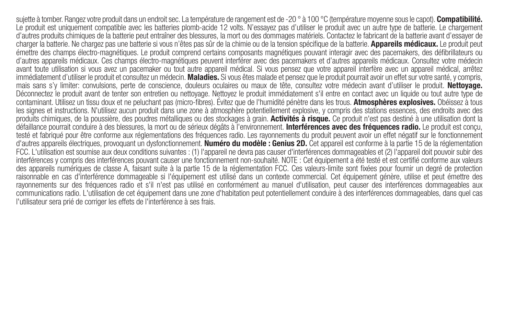sujette à tomber. Rangez votre produit dans un endroit sec. La température de rangement est de -20 ° à 100 °C (température moyenne sous le capot). Compatibilité. Le produit est uniquement compatible avec les batteries plomb-acide 12 volts. N'essayez pas d'utiliser le produit avec un autre type de batterie. Le chargement d'autres produits chimiques de la batterie peut entraîner des blessures, la mort ou des dommages matériels. Contactez le fabricant de la batterie avant d'essayer de charger la batterie. Ne chargez pas une batterie si vous n'êtes pas sûr de la chimie ou de la tension spécifique de la batterie. Appareils médicaux. Le produit peut émettre des champs électro-magnétiques. Le produit comprend certains composants magnétiques pouvant interagir avec des pacemakers, des défibrillateurs ou d'autres appareils médicaux. Ces champs électro-magnétiques peuvent interférer avec des pacemakers et d'autres appareils médicaux. Consultez votre médecin avant toute utilisation si vous avez un pacemaker ou tout autre appareil médical. Si vous pensez que votre appareil interfère avec un appareil médical, arrêtez immédiatement d'utiliser le produit et consultez un médecin. Maladies. Si vous êtes malade et pensez que le produit pourrait avoir un effet sur votre santé, y compris, mais sans s'y limiter: convulsions, perte de conscience, douleurs oculaires ou maux de tête, consultez votre médecin avant d'utiliser le produit. Nettoyage. Déconnectez le produit avant de tenter son entretien ou nettoyage. Nettoyez le produit immédiatement s'il entre en contact avec un liquide ou tout autre type de<br>contaminant, Utilisez un tissu doux et ne peluchant pas (micr les signes et instructions. N'utilisez aucun produit dans une zone à atmosphère potentiellement explosive, y compris des stations essences, des endroits avec des produits chimiques, de la poussière, des poudres métalliques ou des stockages à grain. Activités à risque. Ce produit n'est pas destiné à une utilisation dont la défaillance pourrait conduire à des blessures, la mort ou de sérieux dégâts à l'environnement. Interférences avec des fréquences radio. Le produit est conçu, testé et fabriqué pour être conforme aux réglementations des fréquences radio. Les rayonnements du produit peuvent avoir un effet négatif sur le fonctionnement d'autres appareils électriques, provoquant un dysfonctionnement. Numéro du modèle : Genius 2D. Cet appareil est conforme à la partie 15 de la réglementation FCC. L'utilisation est soumise aux deux conditions suivantes : (1) l'appareil ne devra pas causer d'interférences dommageables et (2) l'appareil doit pouvoir subir des interférences y compris des interférences pouvant causer une fonctionnement non-souhaité. NOTE : Cet équipement a été testé et est certifié conforme aux valeurs des appareils numériques de classe A, faisant suite à la partie 15 de la réglementation FCC. Ces valeurs-limite sont fixées pour fournir un degré de protection raisonnable en cas d'interférence dommageable si l'équipement est utilisé dans un contexte commercial. Cet équipement génère, utilise et peut émettre des rayonnements sur des fréquences radio et s'il n'est pas utilisé en conformément au manuel d'utilisation, peut causer des interférences dommageables aux communications radio. L'utilisation de cet équipement dans une zone d'habitation peut potentiellement conduire à des interférences dommageables, dans quel cas l'utilisateur sera prié de corriger les effets de l'interférence à ses frais.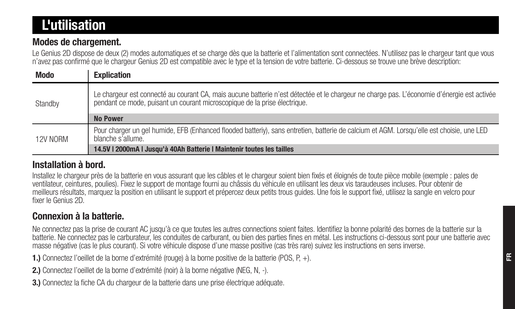# L'utilisation

#### Modes de chargement.

Le Genius 2D dispose de deux (2) modes automatiques et se charge dès que la batterie et l'alimentation sont connectées. N'utilisez pas le chargeur tant que vous n'avez pas confirmé que le chargeur Genius 2D est compatible avec le type et la tension de votre batterie. Ci-dessous se trouve une brève description:

| <b>Modo</b> | <b>Explication</b>                                                                                                                                                                                                      |
|-------------|-------------------------------------------------------------------------------------------------------------------------------------------------------------------------------------------------------------------------|
| Standby     | Le chargeur est connecté au courant CA, mais aucune batterie n'est détectée et le chargeur ne charge pas. L'économie d'énergie est activée<br>pendant ce mode, puisant un courant microscopique de la prise électrique. |
|             | <b>No Power</b>                                                                                                                                                                                                         |
| 12V NORM    | Pour charger un gel humide. EFB (Enhanced flooded batteriy), sans entretien, batterie de calcium et AGM, Lorsqu'elle est choisie, une LED<br>blanche s'allume.                                                          |
|             | 14.5V   2000mA   Jusqu'à 40Ah Batterie   Maintenir toutes les tailles                                                                                                                                                   |

#### Installation à bord.

Installez le chargeur près de la batterie en vous assurant que les câbles et le chargeur soient bien fixés et éloignés de toute pièce mobile (exemple : pales de ventilateur, ceintures, poulies). Fixez le support de montage fourni au châssis du véhicule en utilisant les deux vis taraudeuses incluses. Pour obtenir de meilleurs résultats, marquez la position en utilisant le support et prépercez deux petits trous guides. Une fois le support fixé, utilisez la sangle en velcro pour fixer le Genius 2D.

#### Connexion à la batterie.

Ne connectez pas la prise de courant AC jusqu'à ce que toutes les autres connections soient faites. Identifiez la bonne polarité des bornes de la batterie sur la batterie. Ne connectez pas le carburateur, les conduites de carburant, ou bien des parties fines en métal. Les instructions ci-dessous sont pour une batterie avec masse négative (cas le plus courant). Si votre véhicule dispose d'une masse positive (cas très rare) suivez les instructions en sens inverse.

1.) Connectez l'oeillet de la borne d'extrémité (rouge) à la borne positive de la batterie (POS, P, +).

2.) Connectez l'oeillet de la borne d'extrémité (noir) à la borne négative (NEG, N, -).

3.) Connectez la fiche CA du chargeur de la batterie dans une prise électrique adéquate.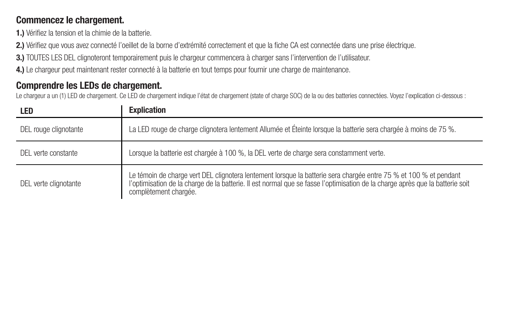#### Commencez le chargement.

1.) Vérifiez la tension et la chimie de la batterie.

2.) Vérifiez que vous avez connecté l'oeillet de la borne d'extrémité correctement et que la fiche CA est connectée dans une prise électrique.

3.) TOUTES LES DEL clignoteront temporairement puis le chargeur commencera à charger sans l'intervention de l'utilisateur.

4.) Le chargeur peut maintenant rester connecté à la batterie en tout temps pour fournir une charge de maintenance.

### Comprendre les LEDs de chargement.

Le chargeur a un (1) LED de chargement. Ce LED de chargement indique l'état de chargement (state of charge SOC) de la ou des batteries connectées. Voyez l'explication ci-dessous :

| LED                   | <b>Explication</b>                                                                                                                                                                                                                                                          |
|-----------------------|-----------------------------------------------------------------------------------------------------------------------------------------------------------------------------------------------------------------------------------------------------------------------------|
| DEL rouge clignotante | La LED rouge de charge clignotera lentement Allumée et Éteinte lorsque la batterie sera chargée à moins de 75 %.                                                                                                                                                            |
| DEL verte constante   | Lorsque la batterie est chargée à 100 %, la DEL verte de charge sera constamment verte.                                                                                                                                                                                     |
| DEL verte clignotante | Le témoin de charge vert DEL clignotera lentement lorsque la batterie sera chargée entre 75 % et 100 % et pendant<br>l'optimisation de la charge de la batterie. Il est normal que se fasse l'optimisation de la charge après que la batterie soit<br>complètement chargée. |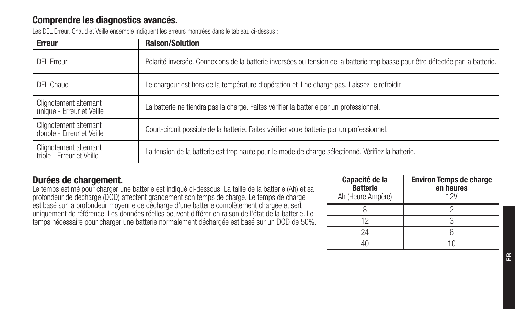#### Comprendre les diagnostics avancés.

Les DEL Erreur, Chaud et Veille ensemble indiquent les erreurs montrées dans le tableau ci-dessus :

| Erreur                                              | <b>Raison/Solution</b>                                                                                                          |
|-----------------------------------------------------|---------------------------------------------------------------------------------------------------------------------------------|
| DFI Frreur                                          | Polarité inversée. Connexions de la batterie inversées ou tension de la batterie trop basse pour être détectée par la batterie. |
| DFI Chaud                                           | Le chargeur est hors de la température d'opération et il ne charge pas. Laissez-le refroidir.                                   |
| Clignotement alternant<br>unique - Erreur et Veille | La batterie ne tiendra pas la charge. Faites vérifier la batterie par un professionnel.                                         |
| Clignotement alternant<br>double - Erreur et Veille | Court-circuit possible de la batterie. Faites vérifier votre batterie par un professionnel.                                     |
| Clignotement alternant<br>triple - Erreur et Veille | La tension de la batterie est trop haute pour le mode de charge sélectionné. Vérifiez la batterie.                              |

#### Durées de chargement.

Le temps estimé pour charger une batterie est indiqué ci-dessous. La taille de la batterie (Ah) et sa profondeur de décharge (DOD) affectent grandement son temps de charge. Le temps de charge est basé sur la profondeur moyenne de décharge d'une batterie complètement chargée et sert uniquement de référence. Les données réelles peuvent différer en raison de l'état de la batterie. Le temps nécessaire pour charger une batterie normalement déchargée est basé sur un DOD de 50%.

| Capacité de la<br><b>Batterie</b><br>Ah (Heure Ampère) | <b>Environ Temps de charge</b><br>en heures<br>12V |
|--------------------------------------------------------|----------------------------------------------------|
|                                                        |                                                    |
| 12                                                     |                                                    |
| 24                                                     |                                                    |
|                                                        |                                                    |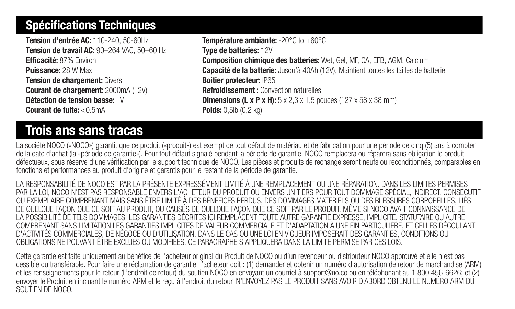## Spécifications Techniques

Tension d'entrée AC: 110-240, 50-60Hz Tension de travail AC: 90-264 VAC, 50-60 Hz Efficacité: 87% Environ Puissance: 28 W Max Tension de chargement: Divers Courant de chargement: 2000mA (12V) Détection de tension basse: 1V Courant de fuite: <0.5mA

# Trois ans sans tracas

Température ambiante: -20°C to +60°C Type de batteries: 12V Composition chimique des batteries: Wet, Gel, MF, CA, EFB, AGM, Calcium Capacité de la batterie: Jusqu'à 40Ah (12V), Maintient toutes les tailles de batterie Boitier protecteur: IP65 Refroidissement : Convection naturelles **Dimensions (L x P x H):**  $5 \times 2.3 \times 1.5$  pouces (127  $\times 58 \times 38$  mm) Poids: 0,5lb (0,2 kg)

La société NOCO («NOCO») garantit que ce produit («produit») est exempt de tout défaut de matériau et de fabrication pour une période de cinq (5) ans à compter de la date d'achat (la «période de garantie»). Pour tout défaut signalé pendant la période de garantie, NOCO remplacera ou réparera sans obligation le produit défectueux, sous réserve d'une vérification par le support technique de NOCO. Les pièces et produits de rechange seront neufs ou reconditionnés, comparables en fonctions et performances au produit d'origine et garantis pour le restant de la période de garantie.

LA RESPONSABILITÉ DE NOCO EST PAR LA PRÉSENTE EXPRESSÉMENT LIMITÉ À UNE REMPLACEMENT OU UNE RÉPARATION. DANS LES LIMITES PERMISES PAR LA LOI, NOCO N'EST PAS RESPONSABLE ENVERS L'ACHETEUR DU PRODUIT OU ENVERS UN TIERS POUR TOUT DOMMAGE SPÉCIAL, INDIRECT, CONSÉCUTIF OU EXEMPLAIRE COMPRENANT MAIS SANS ÊTRE LIMITÉ À DES BÉNÉFICES PERDUS, DES DOMMAGES MATÉRIELS OU DES BLESSURES CORPORELLES, LIÉS DE QUELQUE FAÇON QUE CE SOIT AU PRODUIT, OU CAUSÉS DE QUELQUE FAÇON QUE CE SOIT PAR LE PRODUIT, MÊME SI NOCO AVAIT CONNAISSANCE DE LA POSSIBILITÉ DE TELS DOMMAGES. LES GARANTIES DÉCRITES ICI REMPLACENT TOUTE AUTRE GARANTIE EXPRESSE, IMPLICITE, STATUTAIRE OU AUTRE, COMPRENANT SANS LIMITATION LES GARANTIES IMPLICITES DE VALEUR COMMERCIALE ET D'ADAPTATION À UNE FIN PARTICULIÈRE, ET CELLES DÉCOULANT D'ACTIVITÉS COMMERCIALES, DE NÉGOCE OU D'UTILISATION. DANS LE CAS OU UNE LOI EN VIGUEUR IMPOSERAIT DES GARANTIES, CONDITIONS OU OBLIGATIONS NE POUVANT ÊTRE EXCLUES OU MODIFIÉES, CE PARAGRAPHE S'APPLIQUERA DANS LA LIMITE PERMISE PAR CES LOIS.

Cette garantie est faite uniquement au bénéfice de l'acheteur original du Produit de NOCO ou d'un revendeur ou distributeur NOCO approuvé et elle n'est pas cessible ou transférable. Pour faire une réclamation de garantie, l'acheteur doit : (1) demander et obtenir un numéro d'autorisation de retour de marchandise (ARM) et les renseignements pour le retour (L'endroit de retour) du soutien NOCO en envoyant un courriel à support@no.co ou en téléphonant au 1 800 456-6626; et (2) envoyer le Produit en incluant le numéro ARM et le reçu à l'endroit du retour. N'ENVOYEZ PAS LE PRODUIT SANS AVOIR D'ABORD OBTENU LE NUMÉRO ARM DU SOUTIEN DE NOCO.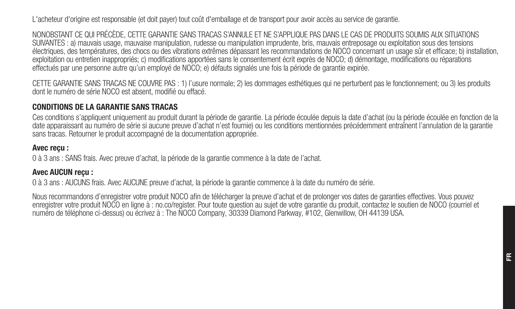L'acheteur d'origine est responsable (et doit payer) tout coût d'emballage et de transport pour avoir accès au service de garantie.

NONOBSTANT CE QUI PRÉCÈDE, CETTE GARANTIE SANS TRACAS S'ANNULE ET NE S'APPLIQUE PAS DANS LE CAS DE PRODUITS SOUMIS AUX SITUATIONS SUIVANTES : a) mauvais usage, mauvaise manipulation, rudesse ou manipulation imprudente, bris, mauvais entreposage ou exploitation sous des tensions électriques, des températures, des chocs ou des vibrations extrêmes dépassant les recommandations de NOCO concernant un usage sûr et efficace; b) installation, exploitation ou entretien inappropriés; c) modifications apportées sans le consentement écrit exprès de NOCO; d) démontage, modifications ou réparations effectués par une personne autre qu'un employé de NOCO; e) défauts signalés une fois la période de garantie expirée.

CETTE GARANTIE SANS TRACAS NE COUVRE PAS : 1) l'usure normale; 2) les dommages esthétiques qui ne perturbent pas le fonctionnement; ou 3) les produits dont le numéro de série NOCO est absent, modifié ou effacé.

#### CONDITIONS DE LA GARANTIE SANS TRACAS

Ces conditions s'appliquent uniquement au produit durant la période de garantie. La période écoulée depuis la date d'achat (ou la période écoulée en fonction de la date apparaissant au numéro de série si aucune preuve d'achat n'est fournie) ou les conditions mentionnées précédemment entraînent l'annulation de la garantie sans tracas. Retourner le produit accompagné de la documentation appropriée.

#### Avec reçu :

0 à 3 ans : SANS frais. Avec preuve d'achat, la période de la garantie commence à la date de l'achat.

#### Avec AUCUN reçu :

0 à 3 ans : AUCUNS frais. Avec AUCUNE preuve d'achat, la période la garantie commence à la date du numéro de série.

Nous recommandons d'enregistrer votre produit NOCO afin de télécharger la preuve d'achat et de prolonger vos dates de garanties effectives. Vous pouvez enregistrer votre produit NOCO en ligne à : no.co/register. Pour toute question au sujet de votre garantie du produit, contactez le soutien de NOCO (courriel et numéro de téléphone ci-dessus) ou écrivez à : The NOCO Company, 30339 Diamond Parkway, #102, Glenwillow, OH 44139 USA.